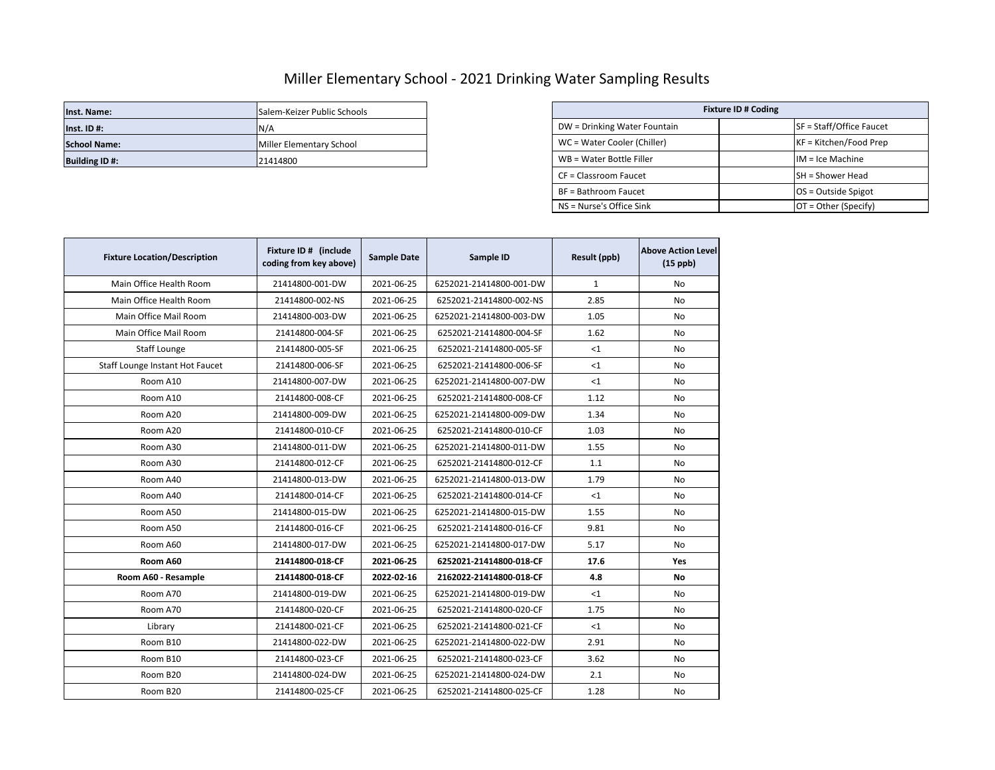## Miller Elementary School - 2021 Drinking Water Sampling Results

| Inst. Name:          | Salem-Keizer Public Schools | <b>Fixture ID # Coding</b>   |  |                          |
|----------------------|-----------------------------|------------------------------|--|--------------------------|
| $Inst.$ ID #:        | N/A                         | DW = Drinking Water Fountain |  | SF = Staff/Office Faucet |
| <b>School Name:</b>  | Miller Elementary School    | WC = Water Cooler (Chiller)  |  | $KF = Kitchen/Food Prep$ |
| <b>Building ID#:</b> | 21414800                    | WB = Water Bottle Filler     |  | $IM = Ice Machine$       |

| Salem-Keizer Public Schools | <b>Fixture ID # Coding</b>   |  |                            |  |
|-----------------------------|------------------------------|--|----------------------------|--|
| N/A                         | DW = Drinking Water Fountain |  | $SF = Staff/Office Faucet$ |  |
| Miller Elementary School    | WC = Water Cooler (Chiller)  |  | KF = Kitchen/Food Prep     |  |
| 21414800                    | WB = Water Bottle Filler     |  | $IM = Ice Machine$         |  |
|                             | CF = Classroom Faucet        |  | <b>SH</b> = Shower Head    |  |
|                             | BF = Bathroom Faucet         |  | OS = Outside Spigot        |  |
|                             | NS = Nurse's Office Sink     |  | $OT = Other (Specific)$    |  |

| <b>Fixture Location/Description</b> | Fixture ID # (include<br>coding from key above) | <b>Sample Date</b> | Sample ID               | Result (ppb) | <b>Above Action Level</b><br>$(15$ ppb) |
|-------------------------------------|-------------------------------------------------|--------------------|-------------------------|--------------|-----------------------------------------|
| Main Office Health Room             | 21414800-001-DW                                 | 2021-06-25         | 6252021-21414800-001-DW | $\mathbf{1}$ | No                                      |
| Main Office Health Room             | 21414800-002-NS                                 | 2021-06-25         | 6252021-21414800-002-NS | 2.85         | <b>No</b>                               |
| Main Office Mail Room               | 21414800-003-DW                                 | 2021-06-25         | 6252021-21414800-003-DW | 1.05         | No                                      |
| Main Office Mail Room               | 21414800-004-SF                                 | 2021-06-25         | 6252021-21414800-004-SF | 1.62         | No                                      |
| Staff Lounge                        | 21414800-005-SF                                 | 2021-06-25         | 6252021-21414800-005-SF | <1           | No                                      |
| Staff Lounge Instant Hot Faucet     | 21414800-006-SF                                 | 2021-06-25         | 6252021-21414800-006-SF | <1           | No                                      |
| Room A10                            | 21414800-007-DW                                 | 2021-06-25         | 6252021-21414800-007-DW | <1           | No                                      |
| Room A10                            | 21414800-008-CF                                 | 2021-06-25         | 6252021-21414800-008-CF | 1.12         | No                                      |
| Room A20                            | 21414800-009-DW                                 | 2021-06-25         | 6252021-21414800-009-DW | 1.34         | No                                      |
| Room A20                            | 21414800-010-CF                                 | 2021-06-25         | 6252021-21414800-010-CF | 1.03         | No.                                     |
| Room A30                            | 21414800-011-DW                                 | 2021-06-25         | 6252021-21414800-011-DW | 1.55         | No                                      |
| Room A30                            | 21414800-012-CF                                 | 2021-06-25         | 6252021-21414800-012-CF | 1.1          | No.                                     |
| Room A40                            | 21414800-013-DW                                 | 2021-06-25         | 6252021-21414800-013-DW | 1.79         | No                                      |
| Room A40                            | 21414800-014-CF                                 | 2021-06-25         | 6252021-21414800-014-CF | <1           | No                                      |
| Room A50                            | 21414800-015-DW                                 | 2021-06-25         | 6252021-21414800-015-DW | 1.55         | No                                      |
| Room A50                            | 21414800-016-CF                                 | 2021-06-25         | 6252021-21414800-016-CF | 9.81         | No                                      |
| Room A60                            | 21414800-017-DW                                 | 2021-06-25         | 6252021-21414800-017-DW | 5.17         | No                                      |
| Room A60                            | 21414800-018-CF                                 | 2021-06-25         | 6252021-21414800-018-CF | 17.6         | Yes                                     |
| Room A60 - Resample                 | 21414800-018-CF                                 | 2022-02-16         | 2162022-21414800-018-CF | 4.8          | No                                      |
| Room A70                            | 21414800-019-DW                                 | 2021-06-25         | 6252021-21414800-019-DW | $<$ 1        | No                                      |
| Room A70                            | 21414800-020-CF                                 | 2021-06-25         | 6252021-21414800-020-CF | 1.75         | <b>No</b>                               |
| Library                             | 21414800-021-CF                                 | 2021-06-25         | 6252021-21414800-021-CF | $<$ 1        | No                                      |
| Room B10                            | 21414800-022-DW                                 | 2021-06-25         | 6252021-21414800-022-DW | 2.91         | No                                      |
| Room B10                            | 21414800-023-CF                                 | 2021-06-25         | 6252021-21414800-023-CF | 3.62         | No                                      |
| Room B20                            | 21414800-024-DW                                 | 2021-06-25         | 6252021-21414800-024-DW | 2.1          | No                                      |
| Room B20                            | 21414800-025-CF                                 | 2021-06-25         | 6252021-21414800-025-CF | 1.28         | No                                      |